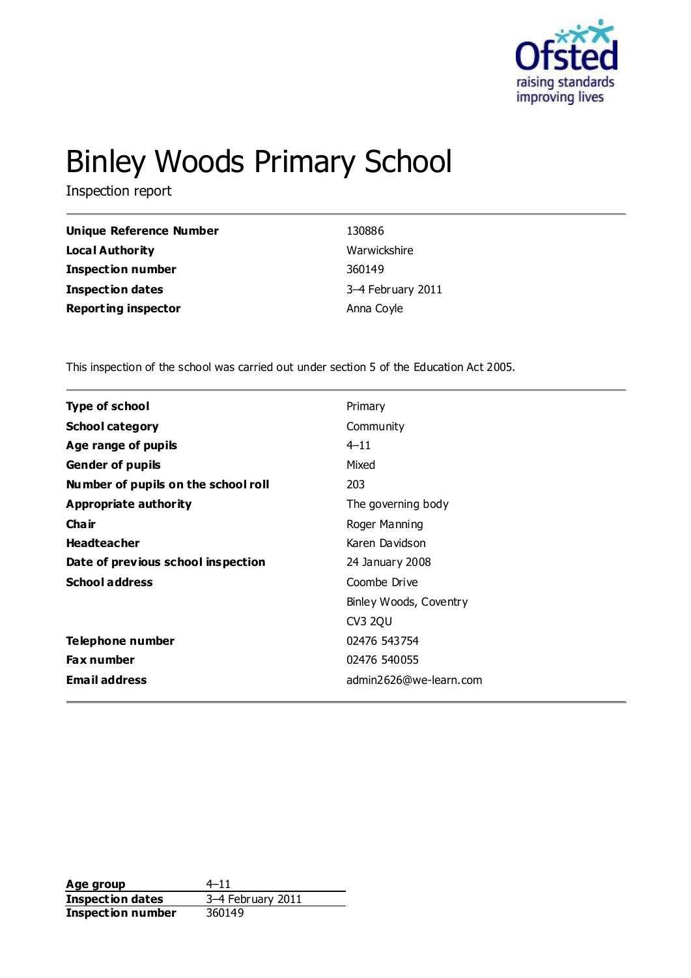

# Binley Woods Primary School

Inspection report

| <b>Unique Reference Number</b> | 130886            |
|--------------------------------|-------------------|
| Local Authority                | Warwickshire      |
| <b>Inspection number</b>       | 360149            |
| <b>Inspection dates</b>        | 3-4 February 2011 |
| <b>Reporting inspector</b>     | Anna Coyle        |
|                                |                   |

This inspection of the school was carried out under section 5 of the Education Act 2005.

| <b>Type of school</b>               | Primary                |
|-------------------------------------|------------------------|
| <b>School category</b>              | Community              |
| Age range of pupils                 | $4 - 11$               |
| <b>Gender of pupils</b>             | Mixed                  |
| Number of pupils on the school roll | 203                    |
| <b>Appropriate authority</b>        | The governing body     |
| Cha ir                              | Roger Manning          |
| <b>Headteacher</b>                  | Karen Davidson         |
| Date of previous school inspection  | 24 January 2008        |
| <b>School address</b>               | Coombe Drive           |
|                                     | Binley Woods, Coventry |
|                                     | CV3 2QU                |
| Telephone number                    | 02476 543754           |
| <b>Fax number</b>                   | 02476 540055           |
| <b>Email address</b>                | admin2626@we-learn.com |
|                                     |                        |

**Age group** 4–11 **Inspection dates** 3–4 February 2011 **Inspection number** 360149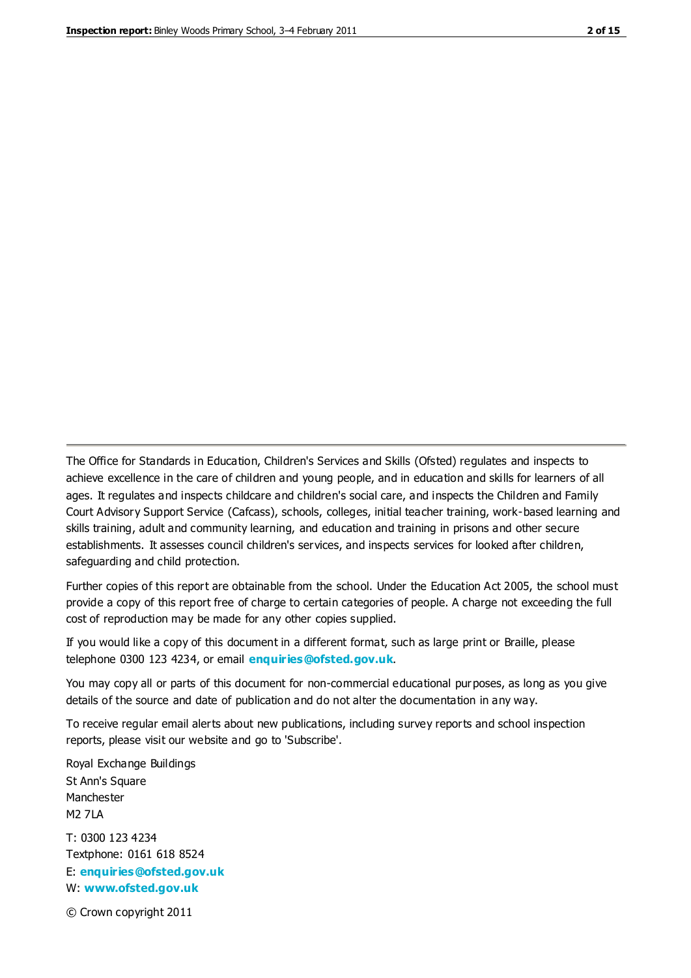The Office for Standards in Education, Children's Services and Skills (Ofsted) regulates and inspects to achieve excellence in the care of children and young people, and in education and skills for learners of all ages. It regulates and inspects childcare and children's social care, and inspects the Children and Family Court Advisory Support Service (Cafcass), schools, colleges, initial teacher training, work-based learning and skills training, adult and community learning, and education and training in prisons and other secure establishments. It assesses council children's services, and inspects services for looked after children, safeguarding and child protection.

Further copies of this report are obtainable from the school. Under the Education Act 2005, the school must provide a copy of this report free of charge to certain categories of people. A charge not exceeding the full cost of reproduction may be made for any other copies supplied.

If you would like a copy of this document in a different format, such as large print or Braille, please telephone 0300 123 4234, or email **[enquiries@ofsted.gov.uk](mailto:enquiries@ofsted.gov.uk)**.

You may copy all or parts of this document for non-commercial educational purposes, as long as you give details of the source and date of publication and do not alter the documentation in any way.

To receive regular email alerts about new publications, including survey reports and school inspection reports, please visit our website and go to 'Subscribe'.

Royal Exchange Buildings St Ann's Square Manchester M2 7LA T: 0300 123 4234 Textphone: 0161 618 8524 E: **[enquiries@ofsted.gov.uk](mailto:enquiries@ofsted.gov.uk)**

W: **[www.ofsted.gov.uk](http://www.ofsted.gov.uk/)**

© Crown copyright 2011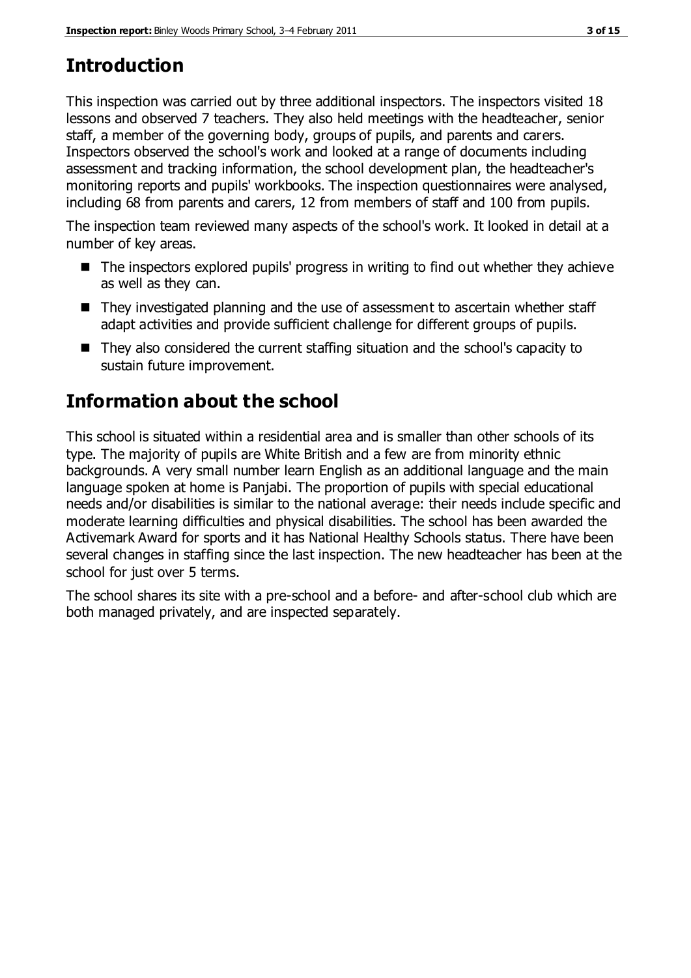# **Introduction**

This inspection was carried out by three additional inspectors. The inspectors visited 18 lessons and observed 7 teachers. They also held meetings with the headteacher, senior staff, a member of the governing body, groups of pupils, and parents and carers. Inspectors observed the school's work and looked at a range of documents including assessment and tracking information, the school development plan, the headteacher's monitoring reports and pupils' workbooks. The inspection questionnaires were analysed, including 68 from parents and carers, 12 from members of staff and 100 from pupils.

The inspection team reviewed many aspects of the school's work. It looked in detail at a number of key areas.

- The inspectors explored pupils' progress in writing to find out whether they achieve as well as they can.
- They investigated planning and the use of assessment to ascertain whether staff adapt activities and provide sufficient challenge for different groups of pupils.
- They also considered the current staffing situation and the school's capacity to sustain future improvement.

# **Information about the school**

This school is situated within a residential area and is smaller than other schools of its type. The majority of pupils are White British and a few are from minority ethnic backgrounds. A very small number learn English as an additional language and the main language spoken at home is Panjabi. The proportion of pupils with special educational needs and/or disabilities is similar to the national average: their needs include specific and moderate learning difficulties and physical disabilities. The school has been awarded the Activemark Award for sports and it has National Healthy Schools status. There have been several changes in staffing since the last inspection. The new headteacher has been at the school for just over 5 terms.

The school shares its site with a pre-school and a before- and after-school club which are both managed privately, and are inspected separately.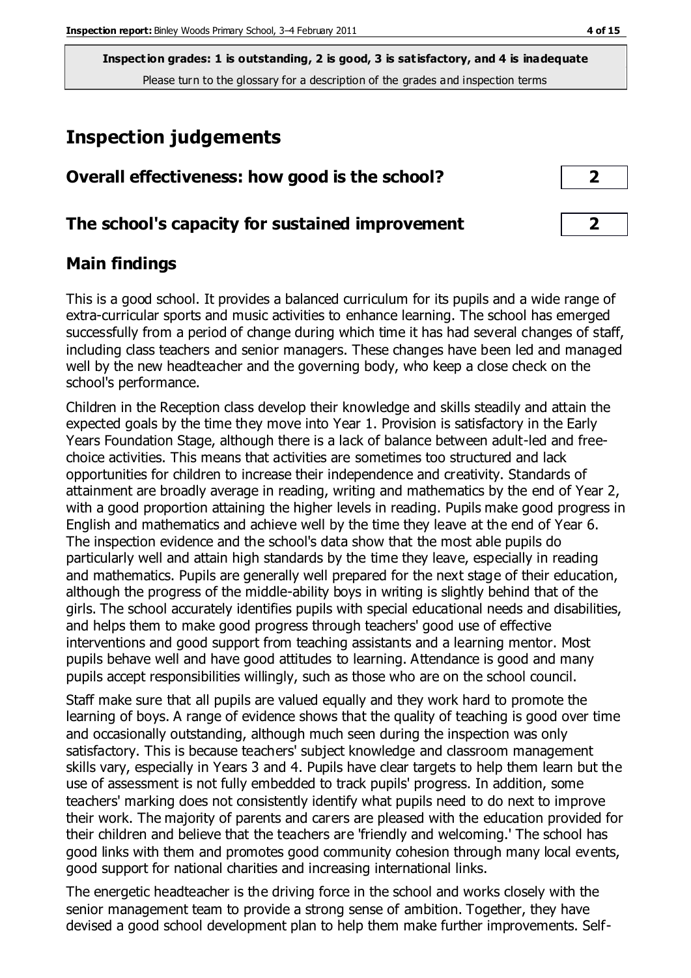# **Inspection judgements**

| Overall effectiveness: how good is the school?  |  |
|-------------------------------------------------|--|
| The school's capacity for sustained improvement |  |

## **Main findings**

This is a good school. It provides a balanced curriculum for its pupils and a wide range of extra-curricular sports and music activities to enhance learning. The school has emerged successfully from a period of change during which time it has had several changes of staff, including class teachers and senior managers. These changes have been led and managed well by the new headteacher and the governing body, who keep a close check on the school's performance.

Children in the Reception class develop their knowledge and skills steadily and attain the expected goals by the time they move into Year 1. Provision is satisfactory in the Early Years Foundation Stage, although there is a lack of balance between adult-led and freechoice activities. This means that activities are sometimes too structured and lack opportunities for children to increase their independence and creativity. Standards of attainment are broadly average in reading, writing and mathematics by the end of Year 2, with a good proportion attaining the higher levels in reading. Pupils make good progress in English and mathematics and achieve well by the time they leave at the end of Year 6. The inspection evidence and the school's data show that the most able pupils do particularly well and attain high standards by the time they leave, especially in reading and mathematics. Pupils are generally well prepared for the next stage of their education, although the progress of the middle-ability boys in writing is slightly behind that of the girls. The school accurately identifies pupils with special educational needs and disabilities, and helps them to make good progress through teachers' good use of effective interventions and good support from teaching assistants and a learning mentor. Most pupils behave well and have good attitudes to learning. Attendance is good and many pupils accept responsibilities willingly, such as those who are on the school council.

Staff make sure that all pupils are valued equally and they work hard to promote the learning of boys. A range of evidence shows that the quality of teaching is good over time and occasionally outstanding, although much seen during the inspection was only satisfactory. This is because teachers' subject knowledge and classroom management skills vary, especially in Years 3 and 4. Pupils have clear targets to help them learn but the use of assessment is not fully embedded to track pupils' progress. In addition, some teachers' marking does not consistently identify what pupils need to do next to improve their work. The majority of parents and carers are pleased with the education provided for their children and believe that the teachers are 'friendly and welcoming.' The school has good links with them and promotes good community cohesion through many local events, good support for national charities and increasing international links.

The energetic headteacher is the driving force in the school and works closely with the senior management team to provide a strong sense of ambition. Together, they have devised a good school development plan to help them make further improvements. Self-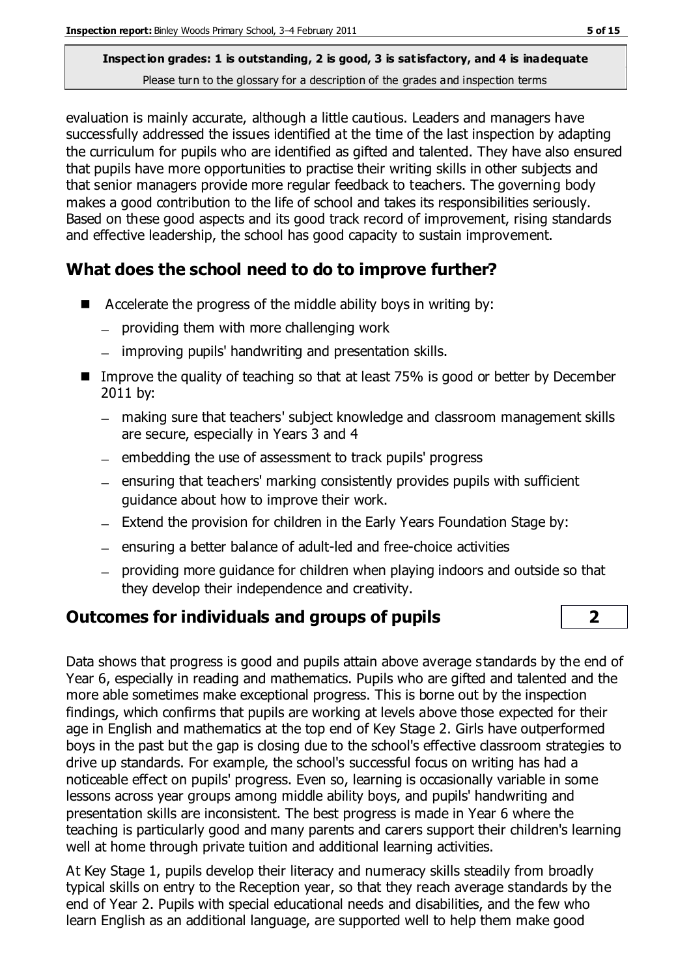evaluation is mainly accurate, although a little cautious. Leaders and managers have successfully addressed the issues identified at the time of the last inspection by adapting the curriculum for pupils who are identified as gifted and talented. They have also ensured that pupils have more opportunities to practise their writing skills in other subjects and that senior managers provide more regular feedback to teachers. The governing body makes a good contribution to the life of school and takes its responsibilities seriously. Based on these good aspects and its good track record of improvement, rising standards and effective leadership, the school has good capacity to sustain improvement.

## **What does the school need to do to improve further?**

- $\blacksquare$  Accelerate the progress of the middle ability boys in writing by:
	- $-$  providing them with more challenging work
	- improving pupils' handwriting and presentation skills.
- Improve the quality of teaching so that at least 75% is good or better by December 2011 by:
	- making sure that teachers' subject knowledge and classroom management skills are secure, especially in Years 3 and 4
	- embedding the use of assessment to track pupils' progress
	- ensuring that teachers' marking consistently provides pupils with sufficient guidance about how to improve their work.
	- Extend the provision for children in the Early Years Foundation Stage by:
	- $-$  ensuring a better balance of adult-led and free-choice activities
	- providing more guidance for children when playing indoors and outside so that they develop their independence and creativity.

## **Outcomes for individuals and groups of pupils 2**

Data shows that progress is good and pupils attain above average s tandards by the end of Year 6, especially in reading and mathematics. Pupils who are gifted and talented and the more able sometimes make exceptional progress. This is borne out by the inspection findings, which confirms that pupils are working at levels above those expected for their age in English and mathematics at the top end of Key Stage 2. Girls have outperformed boys in the past but the gap is closing due to the school's effective classroom strategies to drive up standards. For example, the school's successful focus on writing has had a noticeable effect on pupils' progress. Even so, learning is occasionally variable in some lessons across year groups among middle ability boys, and pupils' handwriting and presentation skills are inconsistent. The best progress is made in Year 6 where the teaching is particularly good and many parents and carers support their children's learning well at home through private tuition and additional learning activities.

At Key Stage 1, pupils develop their literacy and numeracy skills steadily from broadly typical skills on entry to the Reception year, so that they reach average standards by the end of Year 2. Pupils with special educational needs and disabilities, and the few who learn English as an additional language, are supported well to help them make good

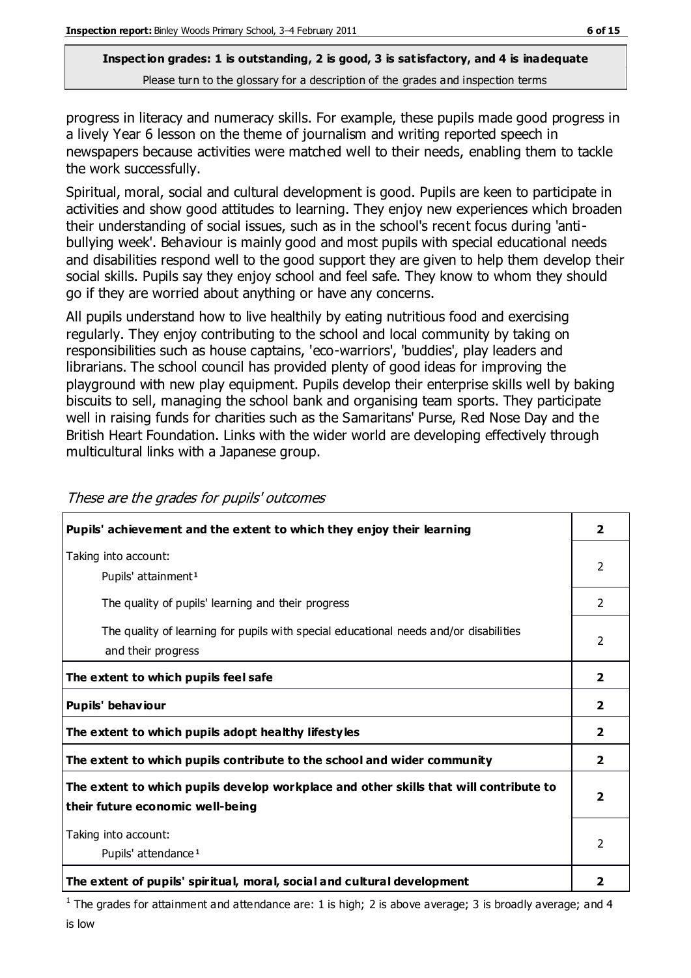progress in literacy and numeracy skills. For example, these pupils made good progress in a lively Year 6 lesson on the theme of journalism and writing reported speech in newspapers because activities were matched well to their needs, enabling them to tackle the work successfully.

Spiritual, moral, social and cultural development is good. Pupils are keen to participate in activities and show good attitudes to learning. They enjoy new experiences which broaden their understanding of social issues, such as in the school's recent focus during 'antibullying week'. Behaviour is mainly good and most pupils with special educational needs and disabilities respond well to the good support they are given to help them develop their social skills. Pupils say they enjoy school and feel safe. They know to whom they should go if they are worried about anything or have any concerns.

All pupils understand how to live healthily by eating nutritious food and exercising regularly. They enjoy contributing to the school and local community by taking on responsibilities such as house captains, 'eco-warriors', 'buddies', play leaders and librarians. The school council has provided plenty of good ideas for improving the playground with new play equipment. Pupils develop their enterprise skills well by baking biscuits to sell, managing the school bank and organising team sports. They participate well in raising funds for charities such as the Samaritans' Purse, Red Nose Day and the British Heart Foundation. Links with the wider world are developing effectively through multicultural links with a Japanese group.

| Pupils' achievement and the extent to which they enjoy their learning                                                     | $\overline{2}$          |
|---------------------------------------------------------------------------------------------------------------------------|-------------------------|
| Taking into account:<br>Pupils' attainment <sup>1</sup>                                                                   | 2                       |
| The quality of pupils' learning and their progress                                                                        | 2                       |
| The quality of learning for pupils with special educational needs and/or disabilities<br>and their progress               | 2                       |
| The extent to which pupils feel safe                                                                                      | $\overline{2}$          |
| Pupils' behaviour                                                                                                         | $\overline{\mathbf{2}}$ |
| The extent to which pupils adopt healthy lifestyles                                                                       | $\mathbf{2}$            |
| The extent to which pupils contribute to the school and wider community                                                   | $\overline{2}$          |
| The extent to which pupils develop workplace and other skills that will contribute to<br>their future economic well-being | $\overline{2}$          |
| Taking into account:<br>Pupils' attendance <sup>1</sup>                                                                   | $\mathcal{P}$           |
| The extent of pupils' spiritual, moral, social and cultural development                                                   | 2                       |

These are the grades for pupils' outcomes

<sup>1</sup> The grades for attainment and attendance are: 1 is high; 2 is above average; 3 is broadly average; and 4 is low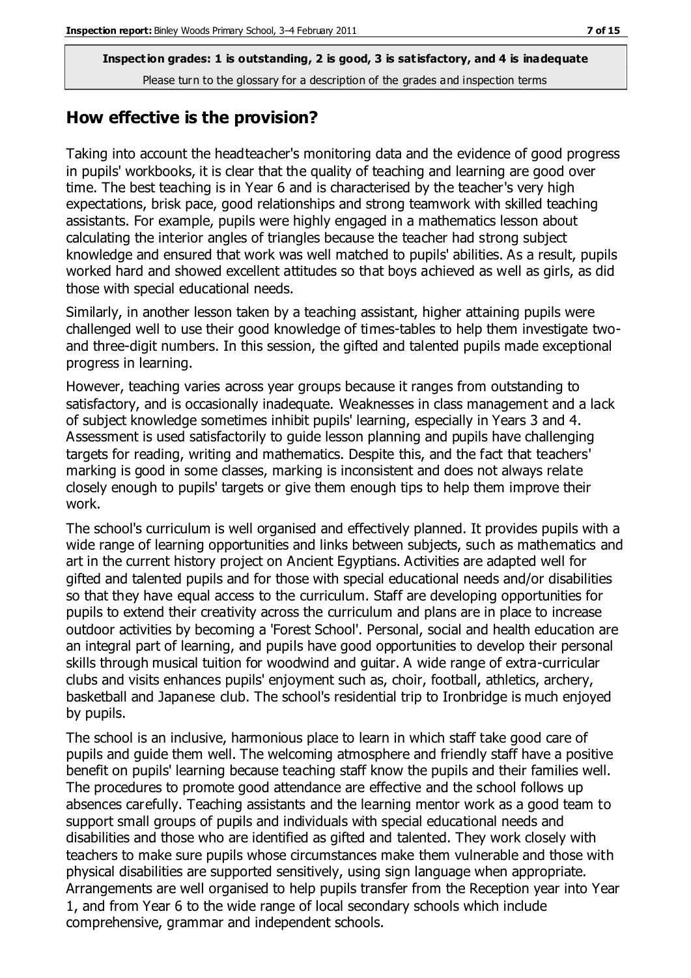#### **How effective is the provision?**

Taking into account the headteacher's monitoring data and the evidence of good progress in pupils' workbooks, it is clear that the quality of teaching and learning are good over time. The best teaching is in Year 6 and is characterised by the teacher's very high expectations, brisk pace, good relationships and strong teamwork with skilled teaching assistants. For example, pupils were highly engaged in a mathematics lesson about calculating the interior angles of triangles because the teacher had strong subject knowledge and ensured that work was well matched to pupils' abilities. As a result, pupils worked hard and showed excellent attitudes so that boys achieved as well as girls, as did those with special educational needs.

Similarly, in another lesson taken by a teaching assistant, higher attaining pupils were challenged well to use their good knowledge of times-tables to help them investigate twoand three-digit numbers. In this session, the gifted and talented pupils made exceptional progress in learning.

However, teaching varies across year groups because it ranges from outstanding to satisfactory, and is occasionally inadequate. Weaknesses in class management and a lack of subject knowledge sometimes inhibit pupils' learning, especially in Years 3 and 4. Assessment is used satisfactorily to guide lesson planning and pupils have challenging targets for reading, writing and mathematics. Despite this, and the fact that teachers' marking is good in some classes, marking is inconsistent and does not always relate closely enough to pupils' targets or give them enough tips to help them improve their work.

The school's curriculum is well organised and effectively planned. It provides pupils with a wide range of learning opportunities and links between subjects, such as mathematics and art in the current history project on Ancient Egyptians. Activities are adapted well for gifted and talented pupils and for those with special educational needs and/or disabilities so that they have equal access to the curriculum. Staff are developing opportunities for pupils to extend their creativity across the curriculum and plans are in place to increase outdoor activities by becoming a 'Forest School'. Personal, social and health education are an integral part of learning, and pupils have good opportunities to develop their personal skills through musical tuition for woodwind and guitar. A wide range of extra-curricular clubs and visits enhances pupils' enjoyment such as, choir, football, athletics, archery, basketball and Japanese club. The school's residential trip to Ironbridge is much enjoyed by pupils.

The school is an inclusive, harmonious place to learn in which staff take good care of pupils and guide them well. The welcoming atmosphere and friendly staff have a positive benefit on pupils' learning because teaching staff know the pupils and their families well. The procedures to promote good attendance are effective and the school follows up absences carefully. Teaching assistants and the learning mentor work as a good team to support small groups of pupils and individuals with special educational needs and disabilities and those who are identified as gifted and talented. They work closely with teachers to make sure pupils whose circumstances make them vulnerable and those with physical disabilities are supported sensitively, using sign language when appropriate. Arrangements are well organised to help pupils transfer from the Reception year into Year 1, and from Year 6 to the wide range of local secondary schools which include comprehensive, grammar and independent schools.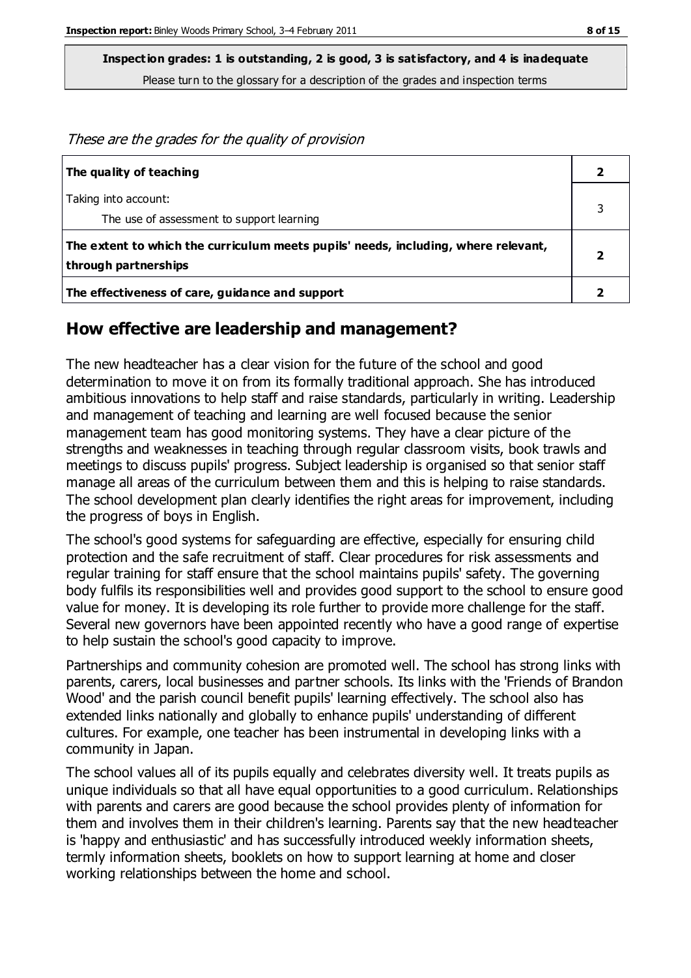These are the grades for the quality of provision

| The quality of teaching                                                                                    |  |
|------------------------------------------------------------------------------------------------------------|--|
| Taking into account:<br>The use of assessment to support learning                                          |  |
| The extent to which the curriculum meets pupils' needs, including, where relevant,<br>through partnerships |  |
| The effectiveness of care, guidance and support                                                            |  |

#### **How effective are leadership and management?**

The new headteacher has a clear vision for the future of the school and good determination to move it on from its formally traditional approach. She has introduced ambitious innovations to help staff and raise standards, particularly in writing. Leadership and management of teaching and learning are well focused because the senior management team has good monitoring systems. They have a clear picture of the strengths and weaknesses in teaching through regular classroom visits, book trawls and meetings to discuss pupils' progress. Subject leadership is organised so that senior staff manage all areas of the curriculum between them and this is helping to raise standards. The school development plan clearly identifies the right areas for improvement, including the progress of boys in English.

The school's good systems for safeguarding are effective, especially for ensuring child protection and the safe recruitment of staff. Clear procedures for risk assessments and regular training for staff ensure that the school maintains pupils' safety. The governing body fulfils its responsibilities well and provides good support to the school to ensure good value for money. It is developing its role further to provide more challenge for the staff. Several new governors have been appointed recently who have a good range of expertise to help sustain the school's good capacity to improve.

Partnerships and community cohesion are promoted well. The school has strong links with parents, carers, local businesses and partner schools. Its links with the 'Friends of Brandon Wood' and the parish council benefit pupils' learning effectively. The school also has extended links nationally and globally to enhance pupils' understanding of different cultures. For example, one teacher has been instrumental in developing links with a community in Japan.

The school values all of its pupils equally and celebrates diversity well. It treats pupils as unique individuals so that all have equal opportunities to a good curriculum. Relationships with parents and carers are good because the school provides plenty of information for them and involves them in their children's learning. Parents say that the new headteacher is 'happy and enthusiastic' and has successfully introduced weekly information sheets, termly information sheets, booklets on how to support learning at home and closer working relationships between the home and school.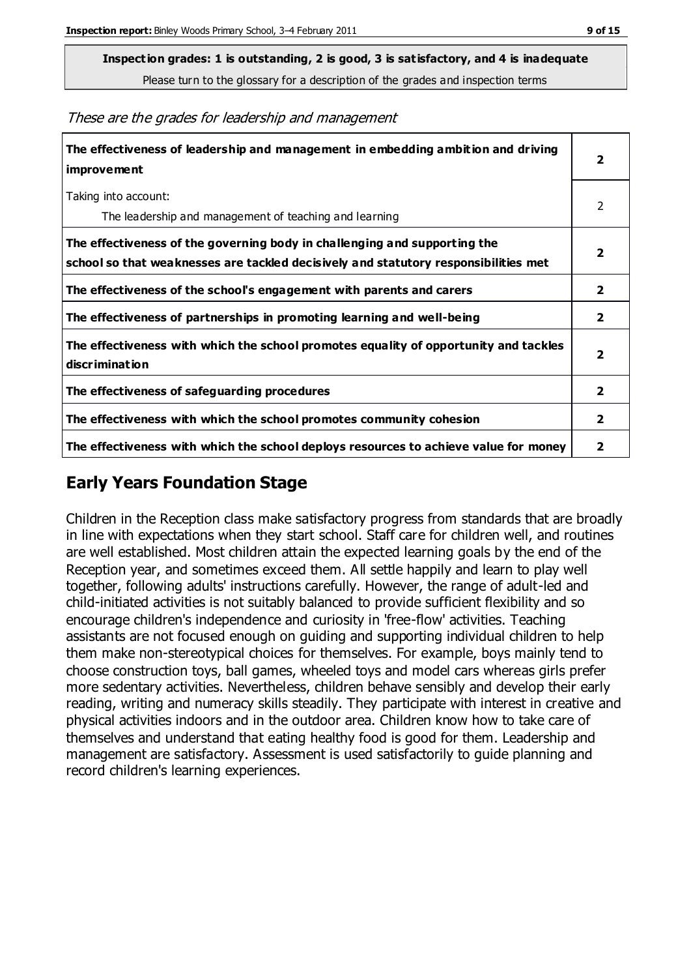**Inspection grades: 1 is outstanding, 2 is good, 3 is satisfactory, and 4 is inadequate**

Please turn to the glossary for a description of the grades and inspection terms

These are the grades for leadership and management

| The effectiveness of leadership and management in embedding ambition and driving<br>improvement                                                                  |                         |
|------------------------------------------------------------------------------------------------------------------------------------------------------------------|-------------------------|
| Taking into account:<br>The leadership and management of teaching and learning                                                                                   | 2                       |
| The effectiveness of the governing body in challenging and supporting the<br>school so that weaknesses are tackled decisively and statutory responsibilities met | $\overline{\mathbf{2}}$ |
| The effectiveness of the school's engagement with parents and carers                                                                                             | 2                       |
| The effectiveness of partnerships in promoting learning and well-being                                                                                           | 2                       |
| The effectiveness with which the school promotes equality of opportunity and tackles<br>discrimination                                                           | $\overline{\mathbf{2}}$ |
| The effectiveness of safeguarding procedures                                                                                                                     | 2                       |
| The effectiveness with which the school promotes community cohesion                                                                                              |                         |
| The effectiveness with which the school deploys resources to achieve value for money                                                                             | 2                       |

## **Early Years Foundation Stage**

Children in the Reception class make satisfactory progress from standards that are broadly in line with expectations when they start school. Staff care for children well, and routines are well established. Most children attain the expected learning goals by the end of the Reception year, and sometimes exceed them. All settle happily and learn to play well together, following adults' instructions carefully. However, the range of adult-led and child-initiated activities is not suitably balanced to provide sufficient flexibility and so encourage children's independence and curiosity in 'free-flow' activities. Teaching assistants are not focused enough on guiding and supporting individual children to help them make non-stereotypical choices for themselves. For example, boys mainly tend to choose construction toys, ball games, wheeled toys and model cars whereas girls prefer more sedentary activities. Nevertheless, children behave sensibly and develop their early reading, writing and numeracy skills steadily. They participate with interest in creative and physical activities indoors and in the outdoor area. Children know how to take care of themselves and understand that eating healthy food is good for them. Leadership and management are satisfactory. Assessment is used satisfactorily to guide planning and record children's learning experiences.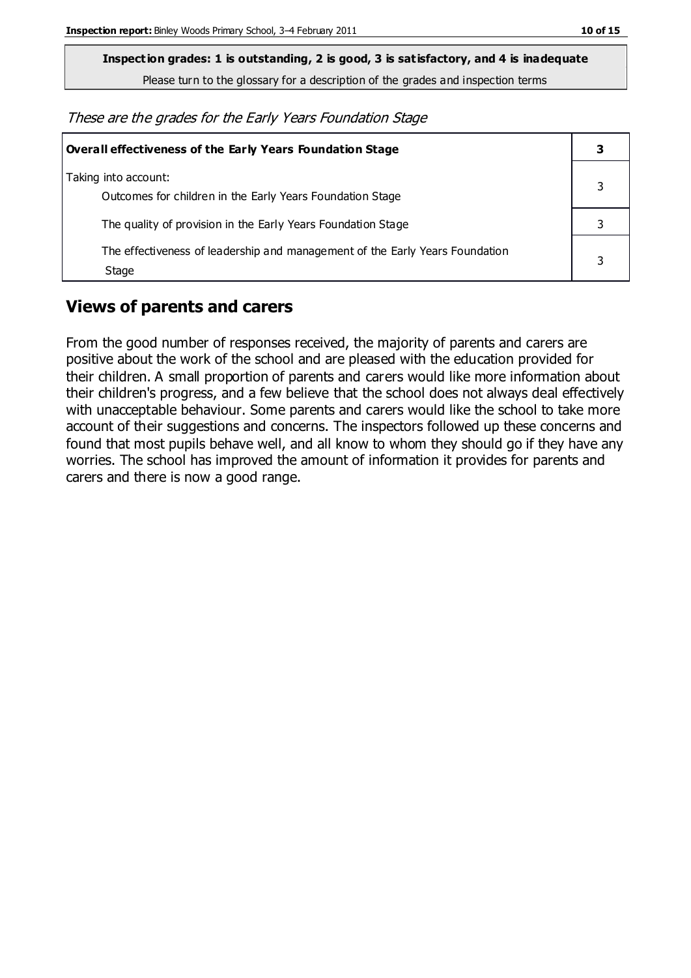**Inspection grades: 1 is outstanding, 2 is good, 3 is satisfactory, and 4 is inadequate**

Please turn to the glossary for a description of the grades and inspection terms

These are the grades for the Early Years Foundation Stage

| Overall effectiveness of the Early Years Foundation Stage                             |   |
|---------------------------------------------------------------------------------------|---|
| Taking into account:<br>Outcomes for children in the Early Years Foundation Stage     |   |
| The quality of provision in the Early Years Foundation Stage                          |   |
| The effectiveness of leadership and management of the Early Years Foundation<br>Stage | 3 |

## **Views of parents and carers**

From the good number of responses received, the majority of parents and carers are positive about the work of the school and are pleased with the education provided for their children. A small proportion of parents and carers would like more information about their children's progress, and a few believe that the school does not always deal effectively with unacceptable behaviour. Some parents and carers would like the school to take more account of their suggestions and concerns. The inspectors followed up these concerns and found that most pupils behave well, and all know to whom they should go if they have any worries. The school has improved the amount of information it provides for parents and carers and there is now a good range.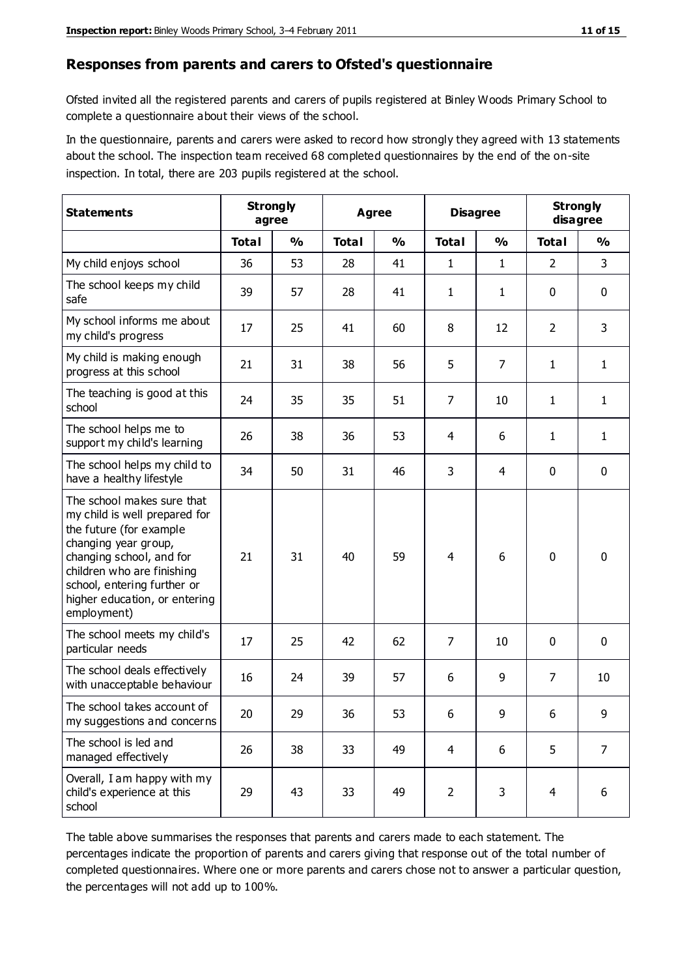#### **Responses from parents and carers to Ofsted's questionnaire**

Ofsted invited all the registered parents and carers of pupils registered at Binley Woods Primary School to complete a questionnaire about their views of the school.

In the questionnaire, parents and carers were asked to record how strongly they agreed with 13 statements about the school. The inspection team received 68 completed questionnaires by the end of the on-site inspection. In total, there are 203 pupils registered at the school.

| <b>Statements</b>                                                                                                                                                                                                                                       | <b>Strongly</b><br>agree |               | Agree        |               | <b>Disagree</b> |                | <b>Strongly</b><br>disagree |                |
|---------------------------------------------------------------------------------------------------------------------------------------------------------------------------------------------------------------------------------------------------------|--------------------------|---------------|--------------|---------------|-----------------|----------------|-----------------------------|----------------|
|                                                                                                                                                                                                                                                         | <b>Total</b>             | $\frac{0}{0}$ | <b>Total</b> | $\frac{0}{0}$ | <b>Total</b>    | $\frac{0}{0}$  | <b>Total</b>                | $\frac{0}{0}$  |
| My child enjoys school                                                                                                                                                                                                                                  | 36                       | 53            | 28           | 41            | 1               | 1              | $\overline{2}$              | $\overline{3}$ |
| The school keeps my child<br>safe                                                                                                                                                                                                                       | 39                       | 57            | 28           | 41            | $\mathbf{1}$    | 1              | 0                           | $\pmb{0}$      |
| My school informs me about<br>my child's progress                                                                                                                                                                                                       | 17                       | 25            | 41           | 60            | 8               | 12             | $\overline{2}$              | 3              |
| My child is making enough<br>progress at this school                                                                                                                                                                                                    | 21                       | 31            | 38           | 56            | 5               | $\overline{7}$ | 1                           | $\mathbf{1}$   |
| The teaching is good at this<br>school                                                                                                                                                                                                                  | 24                       | 35            | 35           | 51            | $\overline{7}$  | 10             | $\mathbf{1}$                | $\mathbf{1}$   |
| The school helps me to<br>support my child's learning                                                                                                                                                                                                   | 26                       | 38            | 36           | 53            | 4               | 6              | 1                           | $\mathbf{1}$   |
| The school helps my child to<br>have a healthy lifestyle                                                                                                                                                                                                | 34                       | 50            | 31           | 46            | 3               | $\overline{4}$ | 0                           | 0              |
| The school makes sure that<br>my child is well prepared for<br>the future (for example<br>changing year group,<br>changing school, and for<br>children who are finishing<br>school, entering further or<br>higher education, or entering<br>employment) | 21                       | 31            | 40           | 59            | $\overline{4}$  | 6              | $\mathbf 0$                 | $\mathbf 0$    |
| The school meets my child's<br>particular needs                                                                                                                                                                                                         | 17                       | 25            | 42           | 62            | $\overline{7}$  | 10             | $\mathbf 0$                 | $\mathbf 0$    |
| The school deals effectively<br>with unacceptable behaviour                                                                                                                                                                                             | 16                       | 24            | 39           | 57            | 6               | 9              | 7                           | 10             |
| The school takes account of<br>my suggestions and concerns                                                                                                                                                                                              | 20                       | 29            | 36           | 53            | 6               | 9              | 6                           | 9              |
| The school is led and<br>managed effectively                                                                                                                                                                                                            | 26                       | 38            | 33           | 49            | $\overline{4}$  | 6              | 5                           | $\overline{7}$ |
| Overall, I am happy with my<br>child's experience at this<br>school                                                                                                                                                                                     | 29                       | 43            | 33           | 49            | $\overline{2}$  | 3              | $\overline{4}$              | 6              |

The table above summarises the responses that parents and carers made to each statement. The percentages indicate the proportion of parents and carers giving that response out of the total number of completed questionnaires. Where one or more parents and carers chose not to answer a particular question, the percentages will not add up to 100%.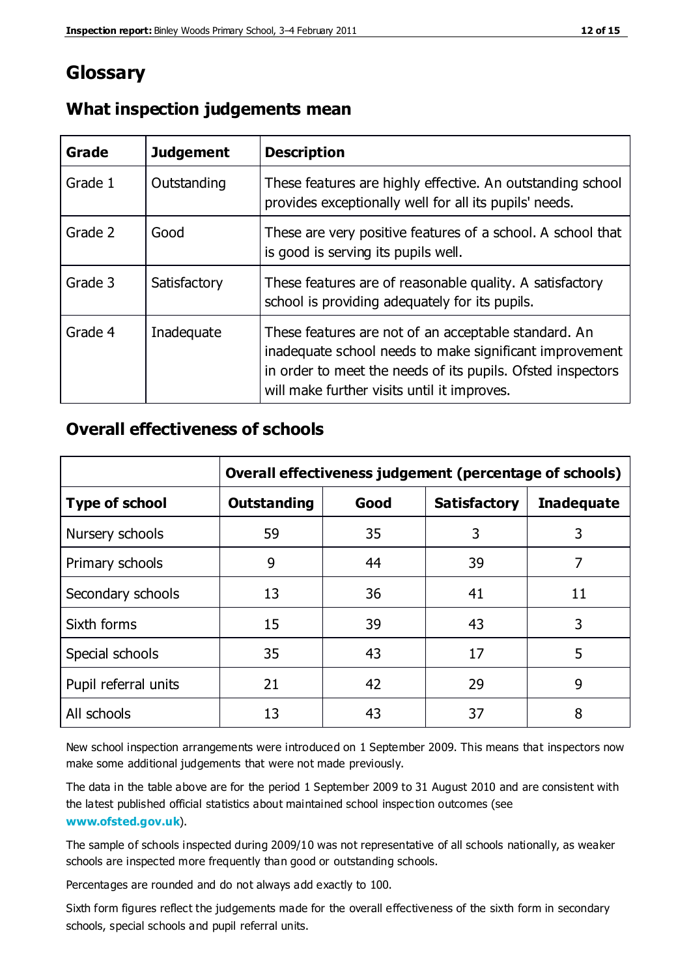# **Glossary**

| Grade   | <b>Judgement</b> | <b>Description</b>                                                                                                                                                                                                            |
|---------|------------------|-------------------------------------------------------------------------------------------------------------------------------------------------------------------------------------------------------------------------------|
| Grade 1 | Outstanding      | These features are highly effective. An outstanding school<br>provides exceptionally well for all its pupils' needs.                                                                                                          |
| Grade 2 | Good             | These are very positive features of a school. A school that<br>is good is serving its pupils well.                                                                                                                            |
| Grade 3 | Satisfactory     | These features are of reasonable quality. A satisfactory<br>school is providing adequately for its pupils.                                                                                                                    |
| Grade 4 | Inadequate       | These features are not of an acceptable standard. An<br>inadequate school needs to make significant improvement<br>in order to meet the needs of its pupils. Ofsted inspectors<br>will make further visits until it improves. |

## **What inspection judgements mean**

## **Overall effectiveness of schools**

|                       | Overall effectiveness judgement (percentage of schools) |      |                     |                   |
|-----------------------|---------------------------------------------------------|------|---------------------|-------------------|
| <b>Type of school</b> | <b>Outstanding</b>                                      | Good | <b>Satisfactory</b> | <b>Inadequate</b> |
| Nursery schools       | 59                                                      | 35   | 3                   | 3                 |
| Primary schools       | 9                                                       | 44   | 39                  | 7                 |
| Secondary schools     | 13                                                      | 36   | 41                  | 11                |
| Sixth forms           | 15                                                      | 39   | 43                  | 3                 |
| Special schools       | 35                                                      | 43   | 17                  | 5                 |
| Pupil referral units  | 21                                                      | 42   | 29                  | 9                 |
| All schools           | 13                                                      | 43   | 37                  | 8                 |

New school inspection arrangements were introduced on 1 September 2009. This means that inspectors now make some additional judgements that were not made previously.

The data in the table above are for the period 1 September 2009 to 31 August 2010 and are consistent with the latest published official statistics about maintained school inspec tion outcomes (see **[www.ofsted.gov.uk](http://www.ofsted.gov.uk/)**).

The sample of schools inspected during 2009/10 was not representative of all schools nationally, as weaker schools are inspected more frequently than good or outstanding schools.

Percentages are rounded and do not always add exactly to 100.

Sixth form figures reflect the judgements made for the overall effectiveness of the sixth form in secondary schools, special schools and pupil referral units.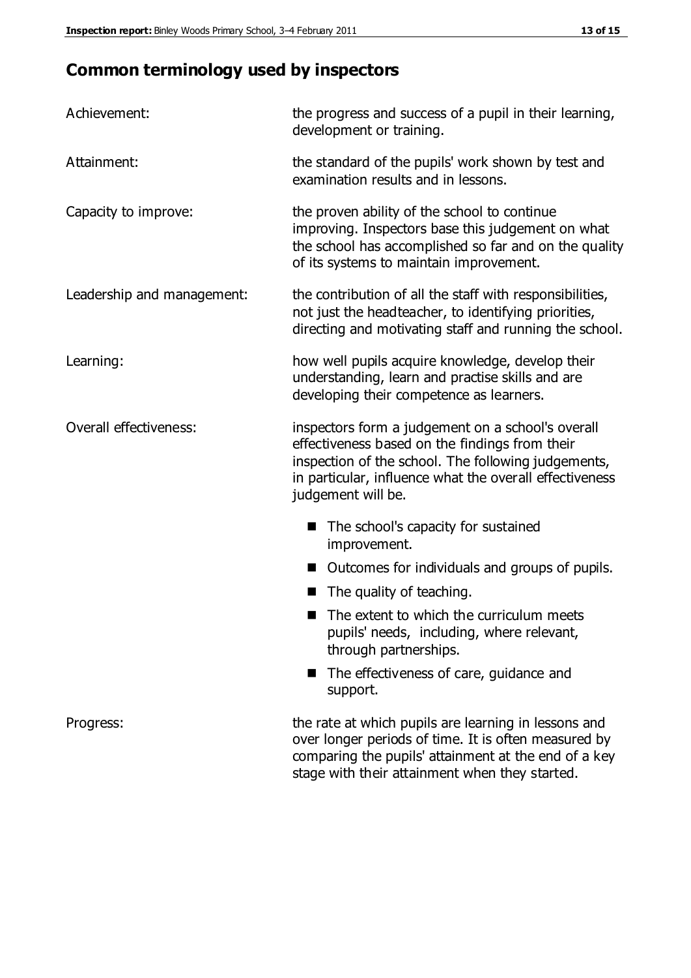# **Common terminology used by inspectors**

| Achievement:               | the progress and success of a pupil in their learning,<br>development or training.                                                                                                                                                          |  |  |
|----------------------------|---------------------------------------------------------------------------------------------------------------------------------------------------------------------------------------------------------------------------------------------|--|--|
| Attainment:                | the standard of the pupils' work shown by test and<br>examination results and in lessons.                                                                                                                                                   |  |  |
| Capacity to improve:       | the proven ability of the school to continue<br>improving. Inspectors base this judgement on what<br>the school has accomplished so far and on the quality<br>of its systems to maintain improvement.                                       |  |  |
| Leadership and management: | the contribution of all the staff with responsibilities,<br>not just the headteacher, to identifying priorities,<br>directing and motivating staff and running the school.                                                                  |  |  |
| Learning:                  | how well pupils acquire knowledge, develop their<br>understanding, learn and practise skills and are<br>developing their competence as learners.                                                                                            |  |  |
| Overall effectiveness:     | inspectors form a judgement on a school's overall<br>effectiveness based on the findings from their<br>inspection of the school. The following judgements,<br>in particular, influence what the overall effectiveness<br>judgement will be. |  |  |
|                            | The school's capacity for sustained<br>improvement.                                                                                                                                                                                         |  |  |
|                            | Outcomes for individuals and groups of pupils.                                                                                                                                                                                              |  |  |
|                            | The quality of teaching.                                                                                                                                                                                                                    |  |  |
|                            | The extent to which the curriculum meets<br>pupils' needs, including, where relevant,<br>through partnerships.                                                                                                                              |  |  |
|                            | The effectiveness of care, guidance and<br>support.                                                                                                                                                                                         |  |  |
| Progress:                  | the rate at which pupils are learning in lessons and<br>over longer periods of time. It is often measured by<br>comparing the pupils' attainment at the end of a key                                                                        |  |  |

stage with their attainment when they started.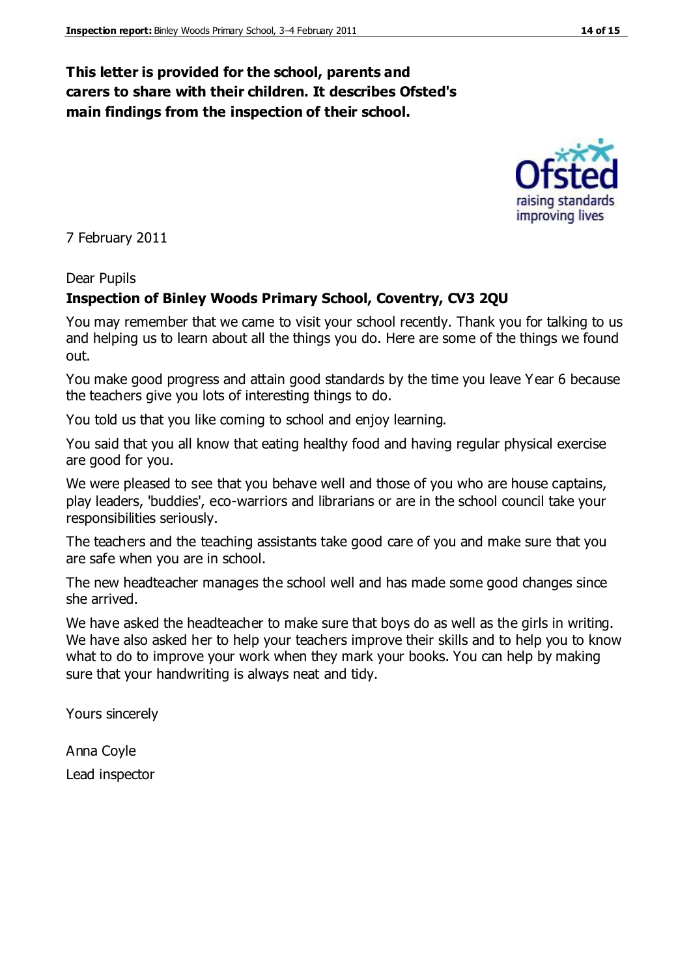## **This letter is provided for the school, parents and carers to share with their children. It describes Ofsted's main findings from the inspection of their school.**

7 February 2011

#### Dear Pupils

#### **Inspection of Binley Woods Primary School, Coventry, CV3 2QU**

You may remember that we came to visit your school recently. Thank you for talking to us and helping us to learn about all the things you do. Here are some of the things we found out.

You make good progress and attain good standards by the time you leave Year 6 because the teachers give you lots of interesting things to do.

You told us that you like coming to school and enjoy learning.

You said that you all know that eating healthy food and having regular physical exercise are good for you.

We were pleased to see that you behave well and those of you who are house captains, play leaders, 'buddies', eco-warriors and librarians or are in the school council take your responsibilities seriously.

The teachers and the teaching assistants take good care of you and make sure that you are safe when you are in school.

The new headteacher manages the school well and has made some good changes since she arrived.

We have asked the headteacher to make sure that boys do as well as the girls in writing. We have also asked her to help your teachers improve their skills and to help you to know what to do to improve your work when they mark your books. You can help by making sure that your handwriting is always neat and tidy.

Yours sincerely

Anna Coyle Lead inspector